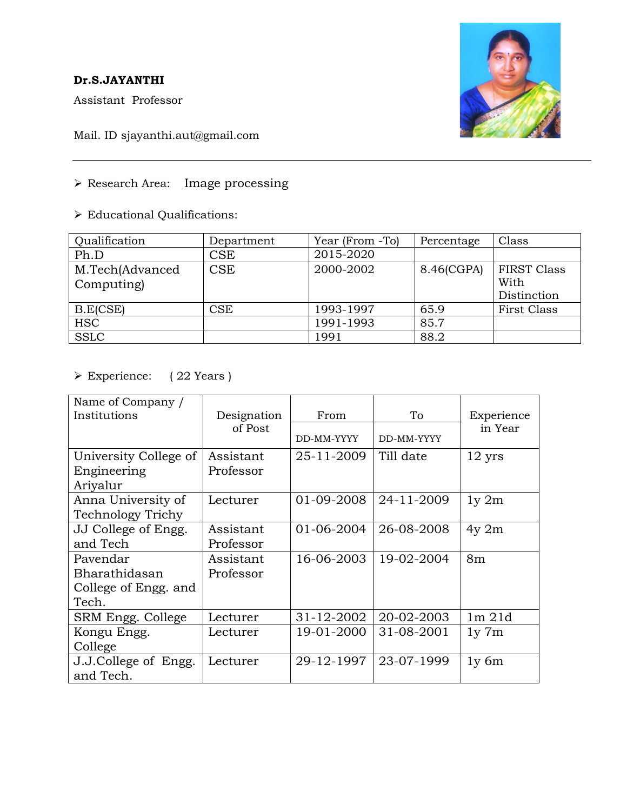## **Dr.S.JAYANTHI**

Assistant Professor



Mail. ID sjayanthi.aut@gmail.com

➢ Research Area: Image processing

➢ Educational Qualifications:

| Qualification                 | Department                | Year (From -To) | Percentage | Class                                     |
|-------------------------------|---------------------------|-----------------|------------|-------------------------------------------|
| Ph.D                          | $\mathop{\hbox{\rm CSE}}$ | 2015-2020       |            |                                           |
| M.Tech(Advanced<br>Computing) | <b>CSE</b>                | 2000-2002       | 8.46(CGPA) | <b>FIRST Class</b><br>With<br>Distinction |
| B.E(CSE)                      | CSE                       | 1993-1997       | 65.9       | First Class                               |
| <b>HSC</b>                    |                           | 1991-1993       | 85.7       |                                           |
| <b>SSLC</b>                   |                           | 1991            | 88.2       |                                           |

## ➢ Experience: ( 22 Years )

| Name of Company /       |             |            |            |                  |
|-------------------------|-------------|------------|------------|------------------|
| Institutions            | Designation | From       | To         | Experience       |
|                         | of Post     | DD-MM-YYYY | DD-MM-YYYY | in Year          |
| University College of   | Assistant   | 25-11-2009 | Till date  | $12 \text{ yrs}$ |
| Engineering<br>Ariyalur | Professor   |            |            |                  |
| Anna University of      | Lecturer    | 01-09-2008 | 24-11-2009 | $1y \, 2m$       |
| Technology Trichy       |             |            |            |                  |
| JJ College of Engg.     | Assistant   | 01-06-2004 | 26-08-2008 | $4y$ 2m          |
| and Tech                | Professor   |            |            |                  |
| Pavendar                | Assistant   | 16-06-2003 | 19-02-2004 | 8 <sub>m</sub>   |
| Bharathidasan           | Professor   |            |            |                  |
| College of Engg. and    |             |            |            |                  |
| Tech.                   |             |            |            |                  |
| SRM Engg. College       | Lecturer    | 31-12-2002 | 20-02-2003 | $1m$ $21d$       |
| Kongu Engg.             | Lecturer    | 19-01-2000 | 31-08-2001 | $1y \ 7m$        |
| College                 |             |            |            |                  |
| J.J.College of Engg.    | Lecturer    | 29-12-1997 | 23-07-1999 | $1y$ 6m          |
| and Tech.               |             |            |            |                  |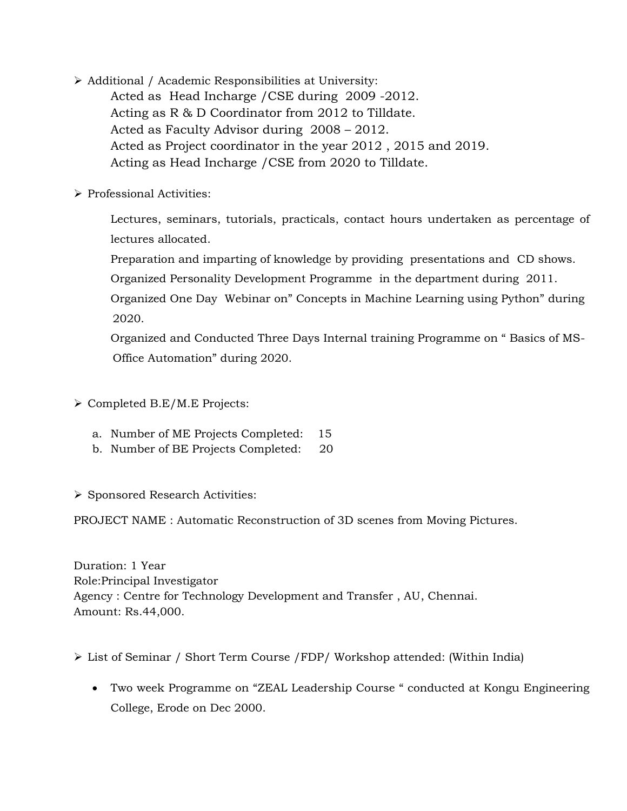- ➢ Additional / Academic Responsibilities at University: Acted as Head Incharge /CSE during 2009 -2012. Acting as R & D Coordinator from 2012 to Tilldate. Acted as Faculty Advisor during 2008 – 2012. Acted as Project coordinator in the year 2012 , 2015 and 2019. Acting as Head Incharge /CSE from 2020 to Tilldate.
- ➢ Professional Activities:

Lectures, seminars, tutorials, practicals, contact hours undertaken as percentage of lectures allocated.

Preparation and imparting of knowledge by providing presentations and CD shows.

Organized Personality Development Programme in the department during 2011.

Organized One Day Webinar on" Concepts in Machine Learning using Python" during 2020.

Organized and Conducted Three Days Internal training Programme on " Basics of MS- Office Automation" during 2020.

- ➢ Completed B.E/M.E Projects:
	- a. Number of ME Projects Completed: 15
	- b. Number of BE Projects Completed: 20

➢ Sponsored Research Activities:

PROJECT NAME : Automatic Reconstruction of 3D scenes from Moving Pictures.

Duration: 1 Year Role:Principal Investigator Agency : Centre for Technology Development and Transfer , AU, Chennai. Amount: Rs.44,000.

➢ List of Seminar / Short Term Course /FDP/ Workshop attended: (Within India)

• Two week Programme on "ZEAL Leadership Course " conducted at Kongu Engineering College, Erode on Dec 2000.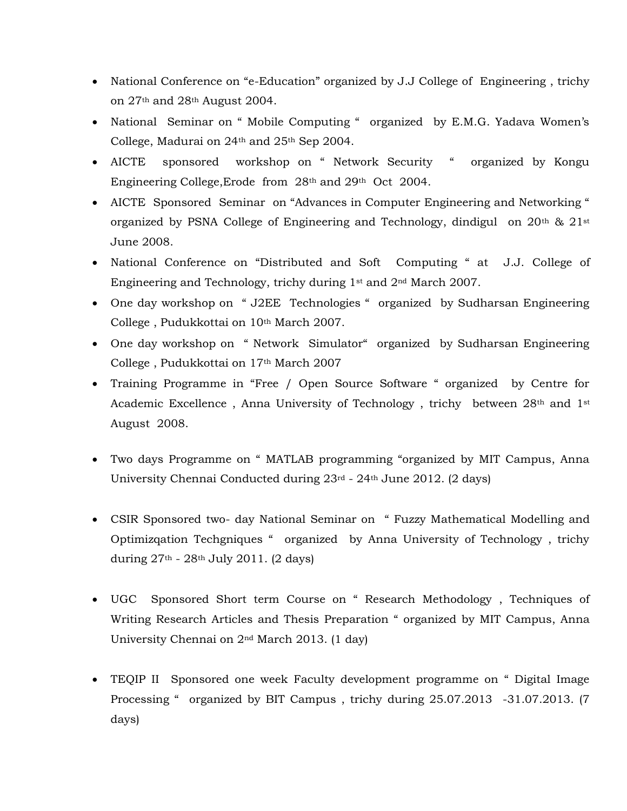- National Conference on "e-Education" organized by J.J College of Engineering , trichy on 27th and 28th August 2004.
- National Seminar on " Mobile Computing " organized by E.M.G. Yadava Women's College, Madurai on 24th and 25th Sep 2004.
- AICTE sponsored workshop on " Network Security " organized by Kongu Engineering College,Erode from 28th and 29th Oct 2004.
- AICTE Sponsored Seminar on "Advances in Computer Engineering and Networking " organized by PSNA College of Engineering and Technology, dindigul on  $20<sup>th</sup>$  &  $21<sup>st</sup>$ June 2008.
- National Conference on "Distributed and Soft Computing " at J.J. College of Engineering and Technology, trichy during 1st and 2nd March 2007.
- One day workshop on "J2EE Technologies " organized by Sudharsan Engineering College, Pudukkottai on 10<sup>th</sup> March 2007.
- One day workshop on "Network Simulator" organized by Sudharsan Engineering College , Pudukkottai on 17th March 2007
- Training Programme in "Free / Open Source Software " organized by Centre for Academic Excellence, Anna University of Technology, trichy between 28<sup>th</sup> and 1<sup>st</sup> August 2008.
- Two days Programme on " MATLAB programming "organized by MIT Campus, Anna University Chennai Conducted during 23rd - 24th June 2012. (2 days)
- CSIR Sponsored two- day National Seminar on " Fuzzy Mathematical Modelling and Optimizqation Techgniques " organized by Anna University of Technology , trichy during  $27<sup>th</sup>$  -  $28<sup>th</sup>$  July 2011. (2 days)
- UGC Sponsored Short term Course on " Research Methodology , Techniques of Writing Research Articles and Thesis Preparation " organized by MIT Campus, Anna University Chennai on 2nd March 2013. (1 day)
- TEQIP II Sponsored one week Faculty development programme on " Digital Image Processing " organized by BIT Campus , trichy during 25.07.2013 -31.07.2013. (7 days)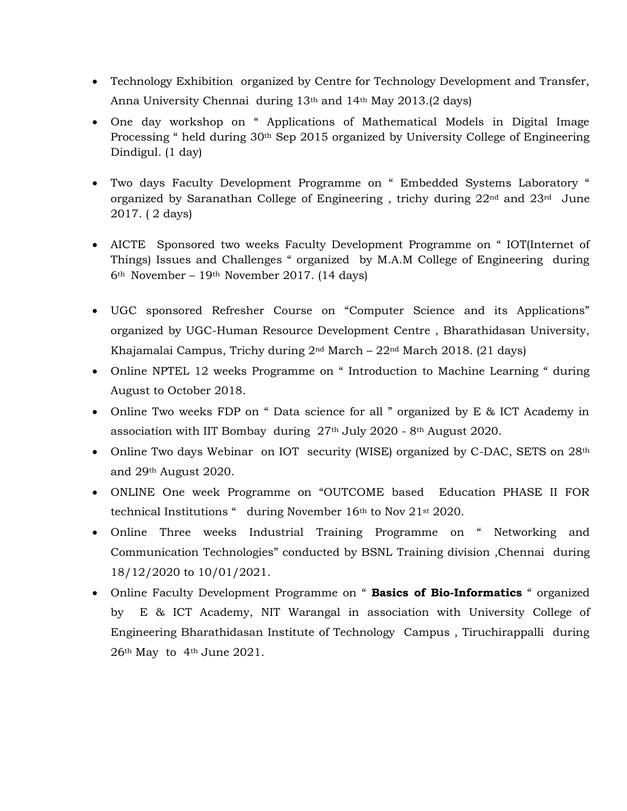- Technology Exhibition organized by Centre for Technology Development and Transfer, Anna University Chennai during 13th and 14th May 2013.(2 days)
- One day workshop on " Applications of Mathematical Models in Digital Image Processing " held during 30<sup>th</sup> Sep 2015 organized by University College of Engineering Dindigul. (1 day)
- Two days Faculty Development Programme on " Embedded Systems Laboratory " organized by Saranathan College of Engineering , trichy during 22nd and 23rd June 2017. ( 2 days)
- AICTE Sponsored two weeks Faculty Development Programme on " IOT(Internet of Things) Issues and Challenges " organized by M.A.M College of Engineering during 6th November – 19th November 2017. (14 days)
- UGC sponsored Refresher Course on "Computer Science and its Applications" organized by UGC-Human Resource Development Centre , Bharathidasan University, Khajamalai Campus, Trichy during 2nd March – 22nd March 2018. (21 days)
- Online NPTEL 12 weeks Programme on " Introduction to Machine Learning " during August to October 2018.
- Online Two weeks FDP on " Data science for all " organized by E & ICT Academy in association with IIT Bombay during 27th July 2020 - 8th August 2020.
- Online Two days Webinar on IOT security (WISE) organized by C-DAC, SETS on 28<sup>th</sup> and 29th August 2020.
- ONLINE One week Programme on "OUTCOME based Education PHASE II FOR technical Institutions " during November 16th to Nov 21st 2020.
- Online Three weeks Industrial Training Programme on " Networking and Communication Technologies" conducted by BSNL Training division ,Chennai during 18/12/2020 to 10/01/2021.
- Online Faculty Development Programme on " **Basics of Bio-Informatics** " organized by E & ICT Academy, NIT Warangal in association with University College of Engineering Bharathidasan Institute of Technology Campus , Tiruchirappalli during 26th May to 4th June 2021.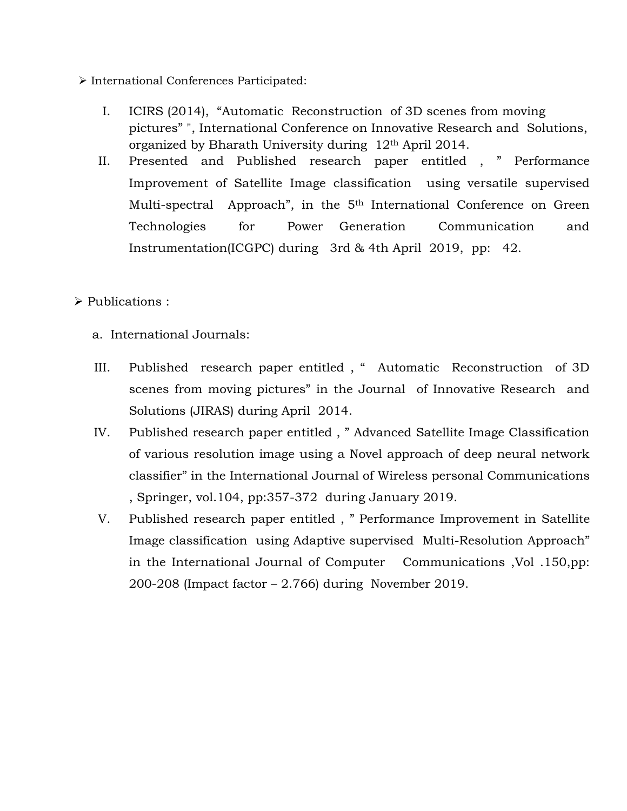- ➢ International Conferences Participated:
	- I. ICIRS (2014), "Automatic Reconstruction of 3D scenes from moving pictures" ", International Conference on Innovative Research and Solutions, organized by Bharath University during 12th April 2014.
	- II. Presented and Published research paper entitled , " Performance Improvement of Satellite Image classification using versatile supervised Multi-spectral Approach", in the 5<sup>th</sup> International Conference on Green Technologies for Power Generation Communication and Instrumentation(ICGPC) during 3rd & 4th April 2019, pp: 42.
- ➢ Publications :
	- a. International Journals:
	- III. Published research paper entitled , " Automatic Reconstruction of 3D scenes from moving pictures" in the Journal of Innovative Research and Solutions (JIRAS) during April 2014.
	- IV. Published research paper entitled , " Advanced Satellite Image Classification of various resolution image using a Novel approach of deep neural network classifier" in the International Journal of Wireless personal Communications , Springer, vol.104, pp:357-372 during January 2019.
	- V. Published research paper entitled , " Performance Improvement in Satellite Image classification using Adaptive supervised Multi-Resolution Approach" in the International Journal of Computer Communications ,Vol .150,pp: 200-208 (Impact factor – 2.766) during November 2019.